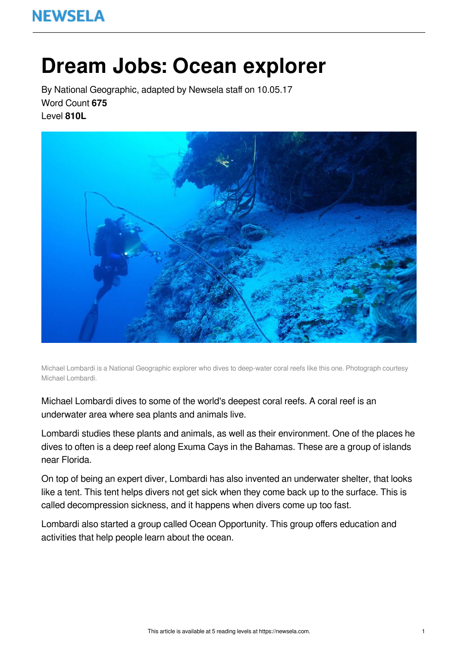# **Dream Jobs: Ocean explorer**

By National Geographic, adapted by Newsela staff on 10.05.17 Word Count **675** Level **810L**



Michael Lombardi is a National Geographic explorer who dives to deep-water coral reefs like this one. Photograph courtesy Michael Lombardi.

Michael Lombardi dives to some of the world's deepest coral reefs. A coral reef is an underwater area where sea plants and animals live.

Lombardi studies these plants and animals, as well as their environment. One of the places he dives to often is a deep reef along Exuma Cays in the Bahamas. These are a group of islands near Florida.

On top of being an expert diver, Lombardi has also invented an underwater shelter, that looks like a tent. This tent helps divers not get sick when they come back up to the surface. This is called decompression sickness, and it happens when divers come up too fast.

Lombardi also started a group called Ocean Opportunity. This group offers education and activities that help people learn about the ocean.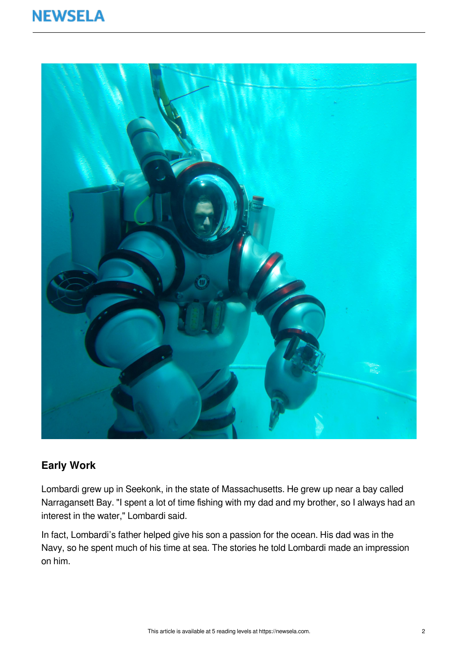

#### **Early Work**

Lombardi grew up in Seekonk, in the state of Massachusetts. He grew up near a bay called Narragansett Bay. "I spent a lot of time fishing with my dad and my brother, so I always had an interest in the water," Lombardi said.

In fact, Lombardi's father helped give his son a passion for the ocean. His dad was in the Navy, so he spent much of his time at sea. The stories he told Lombardi made an impression on him.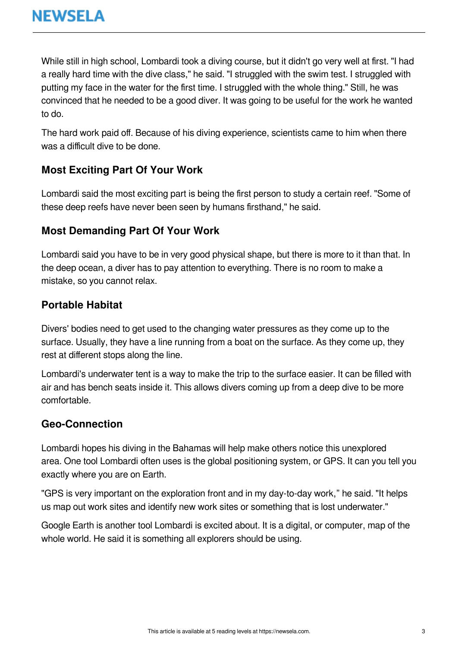While still in high school, Lombardi took a diving course, but it didn't go very well at first. "I had a really hard time with the dive class," he said. "I struggled with the swim test. I struggled with putting my face in the water for the first time. I struggled with the whole thing." Still, he was convinced that he needed to be a good diver. It was going to be useful for the work he wanted to do.

The hard work paid off. Because of his diving experience, scientists came to him when there was a difficult dive to be done.

#### **Most Exciting Part Of Your Work**

Lombardi said the most exciting part is being the first person to study a certain reef. "Some of these deep reefs have never been seen by humans firsthand," he said.

#### **Most Demanding Part Of Your Work**

Lombardi said you have to be in very good physical shape, but there is more to it than that. In the deep ocean, a diver has to pay attention to everything. There is no room to make a mistake, so you cannot relax.

#### **Portable Habitat**

Divers' bodies need to get used to the changing water pressures as they come up to the surface. Usually, they have a line running from a boat on the surface. As they come up, they rest at different stops along the line.

Lombardi's underwater tent is a way to make the trip to the surface easier. It can be filled with air and has bench seats inside it. This allows divers coming up from a deep dive to be more comfortable.

#### **Geo-Connection**

Lombardi hopes his diving in the Bahamas will help make others notice this unexplored area. One tool Lombardi often uses is the global positioning system, or GPS. It can you tell you exactly where you are on Earth.

"GPS is very important on the exploration front and in my day-to-day work," he said. "It helps us map out work sites and identify new work sites or something that is lost underwater."

Google Earth is another tool Lombardi is excited about. It is a digital, or computer, map of the whole world. He said it is something all explorers should be using.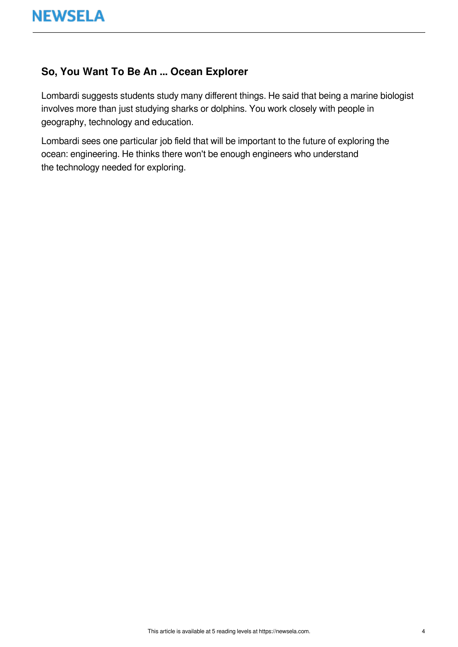#### **So, You Want To Be An ... Ocean Explorer**

Lombardi suggests students study many different things. He said that being a marine biologist involves more than just studying sharks or dolphins. You work closely with people in geography, technology and education.

Lombardi sees one particular job field that will be important to the future of exploring the ocean: engineering. He thinks there won't be enough engineers who understand the technology needed for exploring.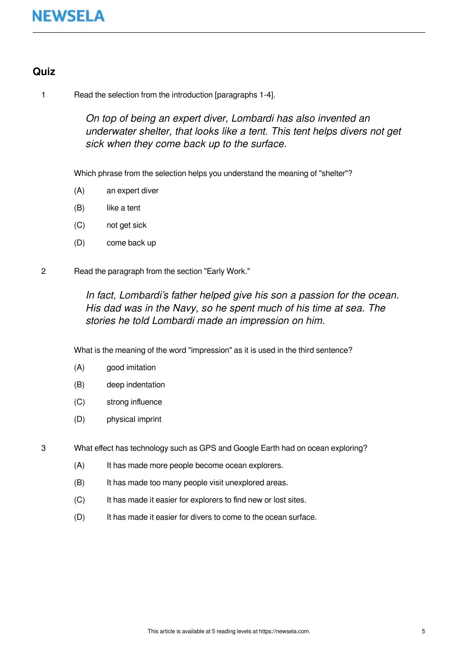#### **Quiz**

1 Read the selection from the introduction [paragraphs 1-4].

On top of being an expert diver, Lombardi has also invented an underwater shelter, that looks like a tent. This tent helps divers not get sick when they come back up to the surface.

Which phrase from the selection helps you understand the meaning of "shelter"?

- (A) an expert diver
- (B) like a tent
- (C) not get sick
- (D) come back up

2 Read the paragraph from the section "Early Work."

In fact, Lombardi's father helped give his son a passion for the ocean. His dad was in the Navy, so he spent much of his time at sea. The stories he told Lombardi made an impression on him.

What is the meaning of the word "impression" as it is used in the third sentence?

- (A) good imitation
- (B) deep indentation
- (C) strong influence
- (D) physical imprint

3 What effect has technology such as GPS and Google Earth had on ocean exploring?

- (A) It has made more people become ocean explorers.
- (B) It has made too many people visit unexplored areas.
- (C) It has made it easier for explorers to find new or lost sites.
- (D) It has made it easier for divers to come to the ocean surface.